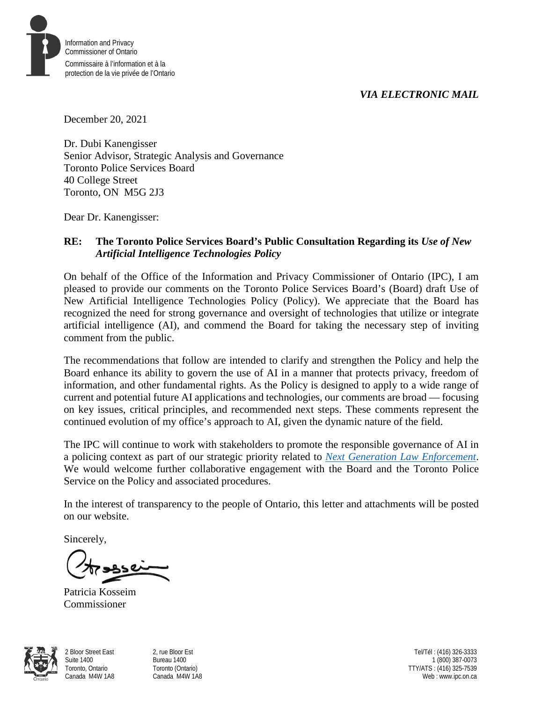*VIA ELECTRONIC MAIL*



December 20, 2021

Dr. Dubi Kanengisser Senior Advisor, Strategic Analysis and Governance Toronto Police Services Board 40 College Street Toronto, ON M5G 2J3

Dear Dr. Kanengisser:

### **RE: The Toronto Police Services Board's Public Consultation Regarding its** *Use of New Artificial Intelligence Technologies Policy*

On behalf of the Office of the Information and Privacy Commissioner of Ontario (IPC), I am pleased to provide our comments on the Toronto Police Services Board's (Board) draft Use of New Artificial Intelligence Technologies Policy (Policy). We appreciate that the Board has recognized the need for strong governance and oversight of technologies that utilize or integrate artificial intelligence (AI), and commend the Board for taking the necessary step of inviting comment from the public.

The recommendations that follow are intended to clarify and strengthen the Policy and help the Board enhance its ability to govern the use of AI in a manner that protects privacy, freedom of information, and other fundamental rights. As the Policy is designed to apply to a wide range of current and potential future AI applications and technologies, our comments are broad — focusing on key issues, critical principles, and recommended next steps. These comments represent the continued evolution of my office's approach to AI, given the dynamic nature of the field.

The IPC will continue to work with stakeholders to promote the responsible governance of AI in a policing context as part of our strategic priority related to *[Next Generation Law Enforcement](https://www.ipc.on.ca/about-us/ipc-strategic-priorities-2021-2025-final-report/)*. We would welcome further collaborative engagement with the Board and the Toronto Police Service on the Policy and associated procedures.

In the interest of transparency to the people of Ontario, this letter and attachments will be posted on our website.

Sincerely,

Patricia Kosseim Commissioner



2 Bloor Street East Suite 1400 Toronto, Ontario Canada M4W 1A8 2, rue Bloor Est Bureau 1400 Toronto (Ontario) Canada M4W 1A8

Tel/Tél : (416) 326-3333 1 (800) 387-0073 TTY/ATS : (416) 325-7539 Web : www.ipc.on.ca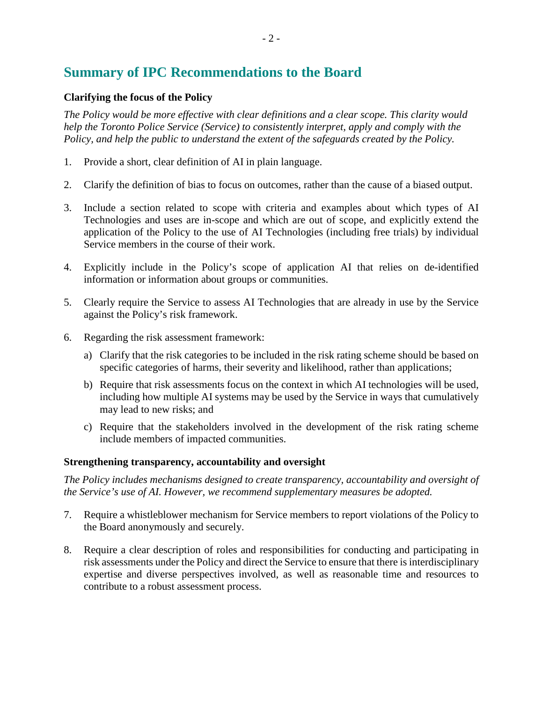# **Summary of IPC Recommendations to the Board**

#### **Clarifying the focus of the Policy**

*The Policy would be more effective with clear definitions and a clear scope. This clarity would help the Toronto Police Service (Service) to consistently interpret, apply and comply with the Policy, and help the public to understand the extent of the safeguards created by the Policy.*

- 1. Provide a short, clear definition of AI in plain language.
- 2. Clarify the definition of bias to focus on outcomes, rather than the cause of a biased output.
- 3. Include a section related to scope with criteria and examples about which types of AI Technologies and uses are in-scope and which are out of scope, and explicitly extend the application of the Policy to the use of AI Technologies (including free trials) by individual Service members in the course of their work.
- 4. Explicitly include in the Policy's scope of application AI that relies on de-identified information or information about groups or communities.
- 5. Clearly require the Service to assess AI Technologies that are already in use by the Service against the Policy's risk framework.
- 6. Regarding the risk assessment framework:
	- a) Clarify that the risk categories to be included in the risk rating scheme should be based on specific categories of harms, their severity and likelihood, rather than applications;
	- b) Require that risk assessments focus on the context in which AI technologies will be used, including how multiple AI systems may be used by the Service in ways that cumulatively may lead to new risks; and
	- c) Require that the stakeholders involved in the development of the risk rating scheme include members of impacted communities.

#### **Strengthening transparency, accountability and oversight**

*The Policy includes mechanisms designed to create transparency, accountability and oversight of the Service's use of AI. However, we recommend supplementary measures be adopted.*

- 7. Require a whistleblower mechanism for Service members to report violations of the Policy to the Board anonymously and securely.
- 8. Require a clear description of roles and responsibilities for conducting and participating in risk assessments under the Policy and direct the Service to ensure that there is interdisciplinary expertise and diverse perspectives involved, as well as reasonable time and resources to contribute to a robust assessment process.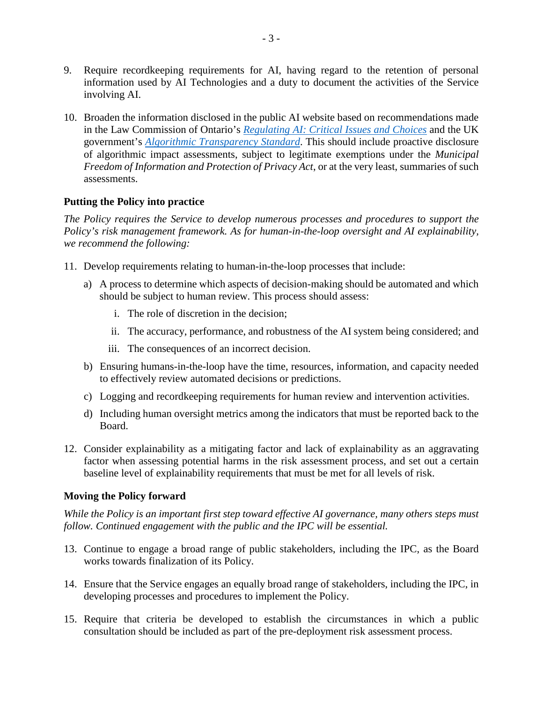- 9. Require recordkeeping requirements for AI, having regard to the retention of personal information used by AI Technologies and a duty to document the activities of the Service involving AI.
- 10. Broaden the information disclosed in the public AI website based on recommendations made in the Law Commission of Ontario's *[Regulating AI: Critical Issues and Choices](https://www.lco-cdo.org/wp-content/uploads/2021/04/LCO-Regulating-AI-Critical-Issues-and-Choices-Toronto-April-2021-1.pdf)* and the UK government's *[Algorithmic Transparency Standard](https://www.gov.uk/government/collections/algorithmic-transparency-standard)*. This should include proactive disclosure of algorithmic impact assessments, subject to legitimate exemptions under the *Municipal Freedom of Information and Protection of Privacy Act*, or at the very least, summaries of such assessments.

#### **Putting the Policy into practice**

*The Policy requires the Service to develop numerous processes and procedures to support the Policy's risk management framework. As for human-in-the-loop oversight and AI explainability, we recommend the following:*

- 11. Develop requirements relating to human-in-the-loop processes that include:
	- a) A process to determine which aspects of decision-making should be automated and which should be subject to human review. This process should assess:
		- i. The role of discretion in the decision;
		- ii. The accuracy, performance, and robustness of the AI system being considered; and
		- iii. The consequences of an incorrect decision.
	- b) Ensuring humans-in-the-loop have the time, resources, information, and capacity needed to effectively review automated decisions or predictions.
	- c) Logging and recordkeeping requirements for human review and intervention activities.
	- d) Including human oversight metrics among the indicators that must be reported back to the Board.
- 12. Consider explainability as a mitigating factor and lack of explainability as an aggravating factor when assessing potential harms in the risk assessment process, and set out a certain baseline level of explainability requirements that must be met for all levels of risk.

#### **Moving the Policy forward**

*While the Policy is an important first step toward effective AI governance, many others steps must follow. Continued engagement with the public and the IPC will be essential.*

- 13. Continue to engage a broad range of public stakeholders, including the IPC, as the Board works towards finalization of its Policy.
- 14. Ensure that the Service engages an equally broad range of stakeholders, including the IPC, in developing processes and procedures to implement the Policy.
- 15. Require that criteria be developed to establish the circumstances in which a public consultation should be included as part of the pre-deployment risk assessment process.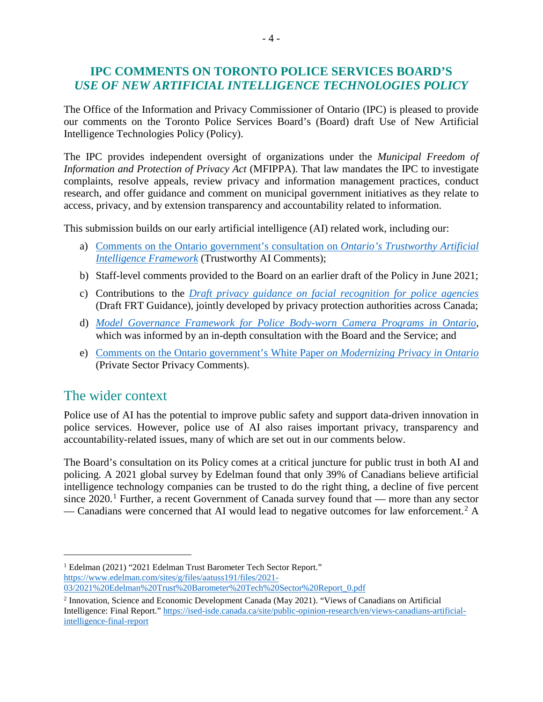## **IPC COMMENTS ON TORONTO POLICE SERVICES BOARD'S**  *USE OF NEW ARTIFICIAL INTELLIGENCE TECHNOLOGIES POLICY*

The Office of the Information and Privacy Commissioner of Ontario (IPC) is pleased to provide our comments on the Toronto Police Services Board's (Board) draft Use of New Artificial Intelligence Technologies Policy (Policy).

The IPC provides independent oversight of organizations under the *Municipal Freedom of Information and Protection of Privacy Act* (MFIPPA). That law mandates the IPC to investigate complaints, resolve appeals, review privacy and information management practices, conduct research, and offer guidance and comment on municipal government initiatives as they relate to access, privacy, and by extension transparency and accountability related to information.

This submission builds on our early artificial intelligence (AI) related work, including our:

- a) [Comments on the Ontario government's consultation on](https://www.ipc.on.ca/wp-content/uploads/2021/06/2021-06-04-ipc-comments-on-ai-framework.pdf) *Ontario's Trustworthy Artificial [Intelligence Framework](https://www.ipc.on.ca/wp-content/uploads/2021/06/2021-06-04-ipc-comments-on-ai-framework.pdf)* (Trustworthy AI Comments);
- b) Staff-level comments provided to the Board on an earlier draft of the Policy in June 2021;
- c) Contributions to the *[Draft privacy guidance on facial recognition for police agencies](https://www.priv.gc.ca/en/about-the-opc/what-we-do/consultations/gd_frt_202106/)* (Draft FRT Guidance), jointly developed by privacy protection authorities across Canada;
- d) *[Model Governance Framework for Police Body-worn Camera](https://www.ipc.on.ca/wp-content/uploads/2021/07/model-governance-framework-police-body-worn-camera-programs.pdf) Programs in Ontario*, which was informed by an in-depth consultation with the Board and the Service; and
- e) Comments [on the Ontario government's White Paper](https://www.ipc.on.ca/wp-content/uploads/2021/09/2021-09-03-ipc-comments-on-gov-white-paper_modernizing-privacy-in-ontario.pdf) *on Modernizing Privacy in Ontario* (Private Sector Privacy Comments).

# The wider context

Police use of AI has the potential to improve public safety and support data-driven innovation in police services. However, police use of AI also raises important privacy, transparency and accountability-related issues, many of which are set out in our comments below.

The Board's consultation on its Policy comes at a critical juncture for public trust in both AI and policing. A 2021 global survey by Edelman found that only 39% of Canadians believe artificial intelligence technology companies can be trusted to do the right thing, a decline of five percent since  $2020$ .<sup>[1](#page-3-0)</sup> Further, a recent Government of Canada survey found that — more than any sector — Canadians were concerned that AI would lead to negative outcomes for law enforcement. [2](#page-3-1) A

<span id="page-3-0"></span> <sup>1</sup> Edelman (2021) "2021 Edelman Trust Barometer Tech Sector Report." [https://www.edelman.com/sites/g/files/aatuss191/files/2021-](https://www.edelman.com/sites/g/files/aatuss191/files/2021-03/2021%20Edelman%20Trust%20Barometer%20Tech%20Sector%20Report_0.pdf)

[<sup>03/2021%20</sup>Edelman%20Trust%20Barometer%20Tech%20Sector%20Report\\_0.pdf](https://www.edelman.com/sites/g/files/aatuss191/files/2021-03/2021%20Edelman%20Trust%20Barometer%20Tech%20Sector%20Report_0.pdf)

<span id="page-3-1"></span><sup>2</sup> Innovation, Science and Economic Development Canada (May 2021). "Views of Canadians on Artificial Intelligence: Final Report." [https://ised-isde.canada.ca/site/public-opinion-research/en/views-canadians-artificial](https://ised-isde.canada.ca/site/public-opinion-research/en/views-canadians-artificial-intelligence-final-report)[intelligence-final-report](https://ised-isde.canada.ca/site/public-opinion-research/en/views-canadians-artificial-intelligence-final-report)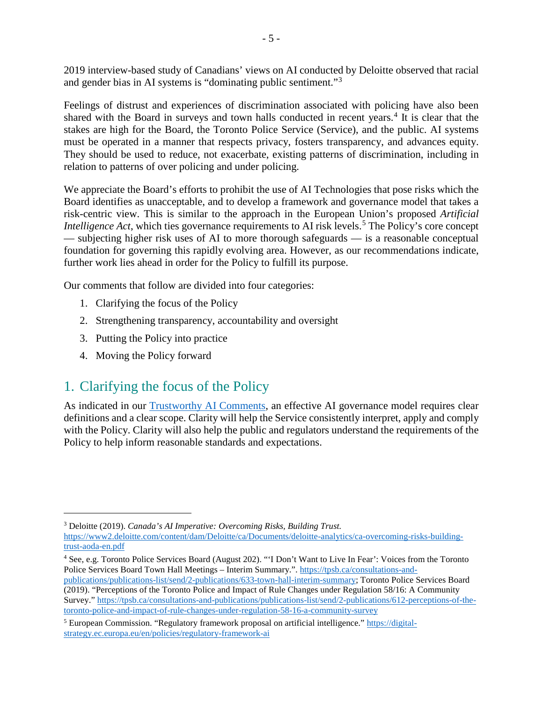2019 interview-based study of Canadians' views on AI conducted by Deloitte observed that racial and gender bias in AI systems is "dominating public sentiment."<sup>[3](#page-4-0)</sup>

Feelings of distrust and experiences of discrimination associated with policing have also been shared with the Board in surveys and town halls conducted in recent years.<sup>[4](#page-4-1)</sup> It is clear that the stakes are high for the Board, the Toronto Police Service (Service), and the public. AI systems must be operated in a manner that respects privacy, fosters transparency, and advances equity. They should be used to reduce, not exacerbate, existing patterns of discrimination, including in relation to patterns of over policing and under policing.

We appreciate the Board's efforts to prohibit the use of AI Technologies that pose risks which the Board identifies as unacceptable, and to develop a framework and governance model that takes a risk-centric view. This is similar to the approach in the European Union's proposed *Artificial Intelligence Act*, which ties governance requirements to AI risk levels.<sup>[5](#page-4-2)</sup> The Policy's core concept — subjecting higher risk uses of AI to more thorough safeguards — is a reasonable conceptual foundation for governing this rapidly evolving area. However, as our recommendations indicate, further work lies ahead in order for the Policy to fulfill its purpose.

Our comments that follow are divided into four categories:

- 1. Clarifying the focus of the Policy
- 2. Strengthening transparency, accountability and oversight
- 3. Putting the Policy into practice
- 4. Moving the Policy forward

# 1. Clarifying the focus of the Policy

As indicated in our [Trustworthy AI Comments,](https://www.ipc.on.ca/wp-content/uploads/2021/06/2021-06-04-ipc-comments-on-ai-framework.pdf) an effective AI governance model requires clear definitions and a clear scope. Clarity will help the Service consistently interpret, apply and comply with the Policy. Clarity will also help the public and regulators understand the requirements of the Policy to help inform reasonable standards and expectations.

<span id="page-4-0"></span> <sup>3</sup> Deloitte (2019). *Canada's AI Imperative: Overcoming Risks, Building Trust.*

[https://www2.deloitte.com/content/dam/Deloitte/ca/Documents/deloitte-analytics/ca-overcoming-risks-building](https://www2.deloitte.com/content/dam/Deloitte/ca/Documents/deloitte-analytics/ca-overcoming-risks-building-trust-aoda-en.pdf)[trust-aoda-en.pdf](https://www2.deloitte.com/content/dam/Deloitte/ca/Documents/deloitte-analytics/ca-overcoming-risks-building-trust-aoda-en.pdf)

<span id="page-4-1"></span><sup>4</sup> See, e.g. Toronto Police Services Board (August 202). "'I Don't Want to Live In Fear': Voices from the Toronto Police Services Board Town Hall Meetings – Interim Summary.". [https://tpsb.ca/consultations-and](https://tpsb.ca/consultations-and-publications/publications-list/send/2-publications/633-town-hall-interim-summary)[publications/publications-list/send/2-publications/633-town-hall-interim-summary;](https://tpsb.ca/consultations-and-publications/publications-list/send/2-publications/633-town-hall-interim-summary) Toronto Police Services Board

<sup>(2019). &</sup>quot;Perceptions of the Toronto Police and Impact of Rule Changes under Regulation 58/16: A Community Survey." [https://tpsb.ca/consultations-and-publications/publications-list/send/2-publications/612-perceptions-of-the](https://tpsb.ca/consultations-and-publications/publications-list/send/2-publications/612-perceptions-of-the-toronto-police-and-impact-of-rule-changes-under-regulation-58-16-a-community-survey)[toronto-police-and-impact-of-rule-changes-under-regulation-58-16-a-community-survey](https://tpsb.ca/consultations-and-publications/publications-list/send/2-publications/612-perceptions-of-the-toronto-police-and-impact-of-rule-changes-under-regulation-58-16-a-community-survey)

<span id="page-4-2"></span><sup>5</sup> European Commission. "Regulatory framework proposal on artificial intelligence." [https://digital](https://digital-strategy.ec.europa.eu/en/policies/regulatory-framework-ai)[strategy.ec.europa.eu/en/policies/regulatory-framework-ai](https://digital-strategy.ec.europa.eu/en/policies/regulatory-framework-ai)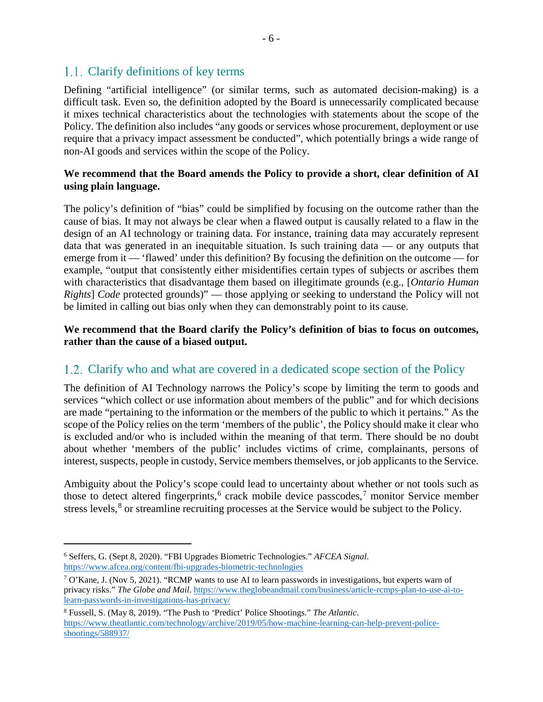## 1.1. Clarify definitions of key terms

Defining "artificial intelligence" (or similar terms, such as automated decision-making) is a difficult task. Even so, the definition adopted by the Board is unnecessarily complicated because it mixes technical characteristics about the technologies with statements about the scope of the Policy. The definition also includes "any goods or services whose procurement, deployment or use require that a privacy impact assessment be conducted", which potentially brings a wide range of non-AI goods and services within the scope of the Policy.

### **We recommend that the Board amends the Policy to provide a short, clear definition of AI using plain language.**

The policy's definition of "bias" could be simplified by focusing on the outcome rather than the cause of bias. It may not always be clear when a flawed output is causally related to a flaw in the design of an AI technology or training data. For instance, training data may accurately represent data that was generated in an inequitable situation. Is such training data — or any outputs that emerge from it — 'flawed' under this definition? By focusing the definition on the outcome — for example, "output that consistently either misidentifies certain types of subjects or ascribes them with characteristics that disadvantage them based on illegitimate grounds (e.g., [*Ontario Human Rights*] *Code* protected grounds)" — those applying or seeking to understand the Policy will not be limited in calling out bias only when they can demonstrably point to its cause.

### **We recommend that the Board clarify the Policy's definition of bias to focus on outcomes, rather than the cause of a biased output.**

# 1.2. Clarify who and what are covered in a dedicated scope section of the Policy

The definition of AI Technology narrows the Policy's scope by limiting the term to goods and services "which collect or use information about members of the public" and for which decisions are made "pertaining to the information or the members of the public to which it pertains." As the scope of the Policy relies on the term 'members of the public', the Policy should make it clear who is excluded and/or who is included within the meaning of that term. There should be no doubt about whether 'members of the public' includes victims of crime, complainants, persons of interest, suspects, people in custody, Service members themselves, or job applicants to the Service.

Ambiguity about the Policy's scope could lead to uncertainty about whether or not tools such as those to detect altered fingerprints,<sup>[6](#page-5-0)</sup> crack mobile device passcodes,<sup>[7](#page-5-1)</sup> monitor Service member stress levels,<sup>[8](#page-5-2)</sup> or streamline recruiting processes at the Service would be subject to the Policy.

<span id="page-5-0"></span> <sup>6</sup> Seffers, G. (Sept 8, 2020). "FBI Upgrades Biometric Technologies." *AFCEA Signal*. <https://www.afcea.org/content/fbi-upgrades-biometric-technologies>

<span id="page-5-1"></span><sup>7</sup> O'Kane, J. (Nov 5, 2021). "RCMP wants to use AI to learn passwords in investigations, but experts warn of privacy risks." *The Globe and Mail*[. https://www.theglobeandmail.com/business/article-rcmps-plan-to-use-ai-to](https://www.theglobeandmail.com/business/article-rcmps-plan-to-use-ai-to-learn-passwords-in-investigations-has-privacy/)[learn-passwords-in-investigations-has-privacy/](https://www.theglobeandmail.com/business/article-rcmps-plan-to-use-ai-to-learn-passwords-in-investigations-has-privacy/)

<span id="page-5-2"></span><sup>8</sup> Fussell, S. (May 8, 2019). "The Push to 'Predict' Police Shootings." *The Atlantic*. [https://www.theatlantic.com/technology/archive/2019/05/how-machine-learning-can-help-prevent-police](https://www.theatlantic.com/technology/archive/2019/05/how-machine-learning-can-help-prevent-police-shootings/588937/)[shootings/588937/](https://www.theatlantic.com/technology/archive/2019/05/how-machine-learning-can-help-prevent-police-shootings/588937/)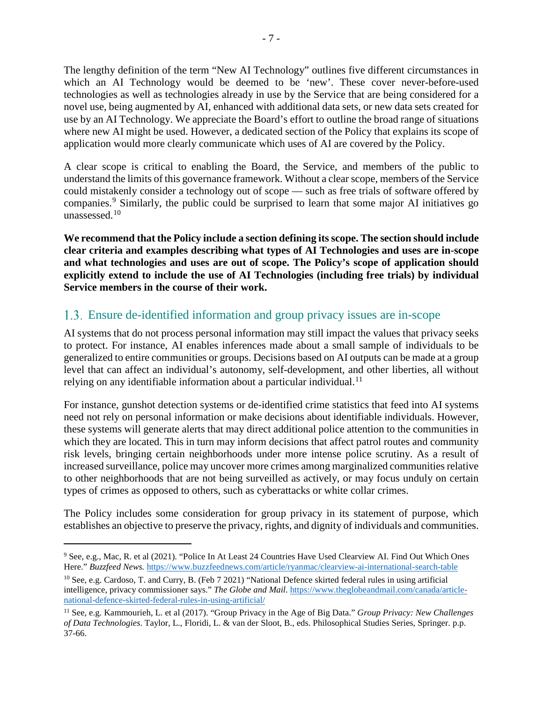The lengthy definition of the term "New AI Technology" outlines five different circumstances in which an AI Technology would be deemed to be 'new'. These cover never-before-used technologies as well as technologies already in use by the Service that are being considered for a novel use, being augmented by AI, enhanced with additional data sets, or new data sets created for use by an AI Technology. We appreciate the Board's effort to outline the broad range of situations where new AI might be used. However, a dedicated section of the Policy that explains its scope of application would more clearly communicate which uses of AI are covered by the Policy.

A clear scope is critical to enabling the Board, the Service, and members of the public to understand the limits of this governance framework. Without a clear scope, members of the Service could mistakenly consider a technology out of scope — such as free trials of software offered by companies.[9](#page-6-0) Similarly, the public could be surprised to learn that some major AI initiatives go unassessed.[10](#page-6-1)

**We recommend that the Policy include a section defining itsscope. The section should include clear criteria and examples describing what types of AI Technologies and uses are in-scope and what technologies and uses are out of scope. The Policy's scope of application should explicitly extend to include the use of AI Technologies (including free trials) by individual Service members in the course of their work.**

## Ensure de-identified information and group privacy issues are in-scope

AI systems that do not process personal information may still impact the values that privacy seeks to protect. For instance, AI enables inferences made about a small sample of individuals to be generalized to entire communities or groups. Decisions based on AI outputs can be made at a group level that can affect an individual's autonomy, self-development, and other liberties, all without relying on any identifiable information about a particular individual.<sup>[11](#page-6-2)</sup>

For instance, gunshot detection systems or de-identified crime statistics that feed into AI systems need not rely on personal information or make decisions about identifiable individuals. However, these systems will generate alerts that may direct additional police attention to the communities in which they are located. This in turn may inform decisions that affect patrol routes and community risk levels, bringing certain neighborhoods under more intense police scrutiny. As a result of increased surveillance, police may uncover more crimes among marginalized communities relative to other neighborhoods that are not being surveilled as actively, or may focus unduly on certain types of crimes as opposed to others, such as cyberattacks or white collar crimes.

The Policy includes some consideration for group privacy in its statement of purpose, which establishes an objective to preserve the privacy, rights, and dignity of individuals and communities.

<span id="page-6-0"></span> <sup>9</sup> See, e.g., Mac, R. et al (2021). "Police In At Least 24 Countries Have Used Clearview AI. Find Out Which Ones Here." *Buzzfeed News.* <https://www.buzzfeednews.com/article/ryanmac/clearview-ai-international-search-table>

<span id="page-6-1"></span><sup>10</sup> See, e.g. Cardoso, T. and Curry, B. (Feb 7 2021) "National Defence skirted federal rules in using artificial intelligence, privacy commissioner says." *The Globe and Mail*. [https://www.theglobeandmail.com/canada/article](https://www.theglobeandmail.com/canada/article-national-defence-skirted-federal-rules-in-using-artificial/)[national-defence-skirted-federal-rules-in-using-artificial/](https://www.theglobeandmail.com/canada/article-national-defence-skirted-federal-rules-in-using-artificial/)

<span id="page-6-2"></span><sup>11</sup> See, e.g. Kammourieh, L. et al (2017). "Group Privacy in the Age of Big Data." *Group Privacy: New Challenges of Data Technologies*. Taylor, L., Floridi, L. & van der Sloot, B., eds. Philosophical Studies Series, Springer. p.p. 37-66.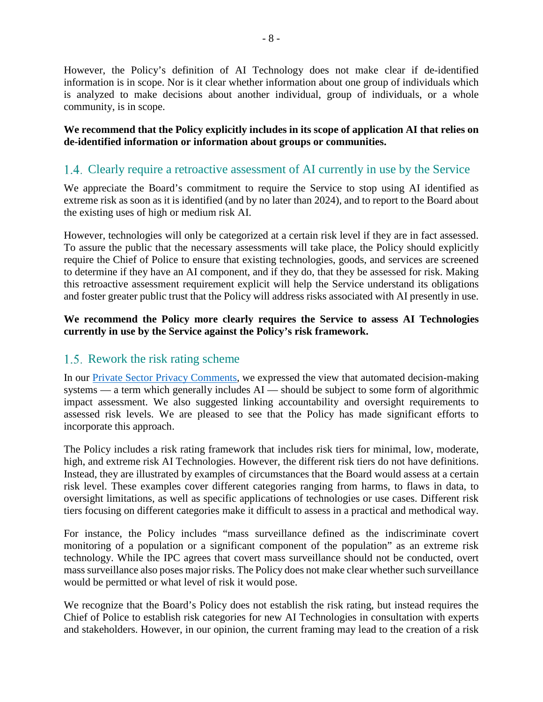However, the Policy's definition of AI Technology does not make clear if de-identified information is in scope. Nor is it clear whether information about one group of individuals which is analyzed to make decisions about another individual, group of individuals, or a whole community, is in scope.

**We recommend that the Policy explicitly includes in its scope of application AI that relies on de-identified information or information about groups or communities.**

## Clearly require a retroactive assessment of AI currently in use by the Service

We appreciate the Board's commitment to require the Service to stop using AI identified as extreme risk as soon as it is identified (and by no later than 2024), and to report to the Board about the existing uses of high or medium risk AI.

However, technologies will only be categorized at a certain risk level if they are in fact assessed. To assure the public that the necessary assessments will take place, the Policy should explicitly require the Chief of Police to ensure that existing technologies, goods, and services are screened to determine if they have an AI component, and if they do, that they be assessed for risk. Making this retroactive assessment requirement explicit will help the Service understand its obligations and foster greater public trust that the Policy will address risks associated with AI presently in use.

### **We recommend the Policy more clearly requires the Service to assess AI Technologies currently in use by the Service against the Policy's risk framework.**

### 1.5. Rework the risk rating scheme

In our [Private Sector Privacy Comments,](https://www.ipc.on.ca/wp-content/uploads/2021/09/2021-09-03-ipc-comments-on-gov-white-paper_modernizing-privacy-in-ontario.pdf) we expressed the view that automated decision-making systems — a term which generally includes AI — should be subject to some form of algorithmic impact assessment. We also suggested linking accountability and oversight requirements to assessed risk levels. We are pleased to see that the Policy has made significant efforts to incorporate this approach.

The Policy includes a risk rating framework that includes risk tiers for minimal, low, moderate, high, and extreme risk AI Technologies. However, the different risk tiers do not have definitions. Instead, they are illustrated by examples of circumstances that the Board would assess at a certain risk level. These examples cover different categories ranging from harms, to flaws in data, to oversight limitations, as well as specific applications of technologies or use cases. Different risk tiers focusing on different categories make it difficult to assess in a practical and methodical way.

For instance, the Policy includes "mass surveillance defined as the indiscriminate covert monitoring of a population or a significant component of the population" as an extreme risk technology. While the IPC agrees that covert mass surveillance should not be conducted, overt mass surveillance also poses major risks. The Policy does not make clear whether such surveillance would be permitted or what level of risk it would pose.

We recognize that the Board's Policy does not establish the risk rating, but instead requires the Chief of Police to establish risk categories for new AI Technologies in consultation with experts and stakeholders. However, in our opinion, the current framing may lead to the creation of a risk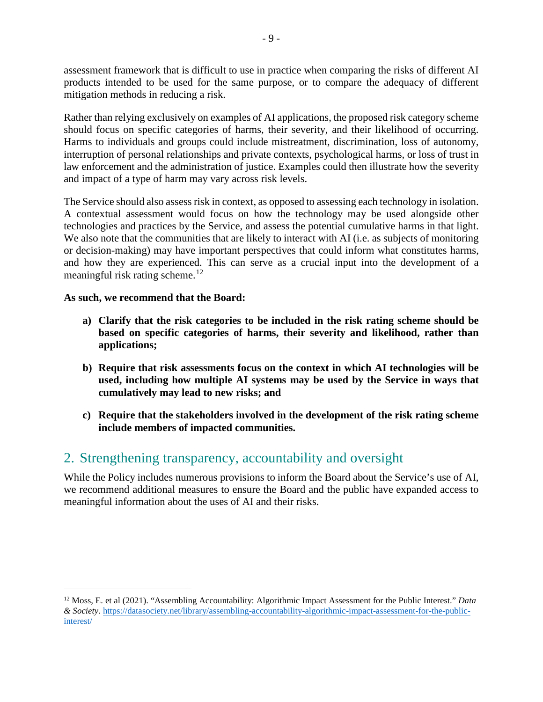assessment framework that is difficult to use in practice when comparing the risks of different AI products intended to be used for the same purpose, or to compare the adequacy of different mitigation methods in reducing a risk.

Rather than relying exclusively on examples of AI applications, the proposed risk category scheme should focus on specific categories of harms, their severity, and their likelihood of occurring. Harms to individuals and groups could include mistreatment, discrimination, loss of autonomy, interruption of personal relationships and private contexts, psychological harms, or loss of trust in law enforcement and the administration of justice. Examples could then illustrate how the severity and impact of a type of harm may vary across risk levels.

The Service should also assess risk in context, as opposed to assessing each technology in isolation. A contextual assessment would focus on how the technology may be used alongside other technologies and practices by the Service, and assess the potential cumulative harms in that light. We also note that the communities that are likely to interact with AI (i.e. as subjects of monitoring or decision-making) may have important perspectives that could inform what constitutes harms, and how they are experienced. This can serve as a crucial input into the development of a meaningful risk rating scheme.<sup>[12](#page-8-0)</sup>

#### **As such, we recommend that the Board:**

- **a) Clarify that the risk categories to be included in the risk rating scheme should be based on specific categories of harms, their severity and likelihood, rather than applications;**
- **b) Require that risk assessments focus on the context in which AI technologies will be used, including how multiple AI systems may be used by the Service in ways that cumulatively may lead to new risks; and**
- **c) Require that the stakeholders involved in the development of the risk rating scheme include members of impacted communities.**

# 2. Strengthening transparency, accountability and oversight

While the Policy includes numerous provisions to inform the Board about the Service's use of AI, we recommend additional measures to ensure the Board and the public have expanded access to meaningful information about the uses of AI and their risks.

<span id="page-8-0"></span> <sup>12</sup> Moss, E. et al (2021). "Assembling Accountability: Algorithmic Impact Assessment for the Public Interest." *Data & Society.* [https://datasociety.net/library/assembling-accountability-algorithmic-impact-assessment-for-the-public](https://datasociety.net/library/assembling-accountability-algorithmic-impact-assessment-for-the-public-interest/)[interest/](https://datasociety.net/library/assembling-accountability-algorithmic-impact-assessment-for-the-public-interest/)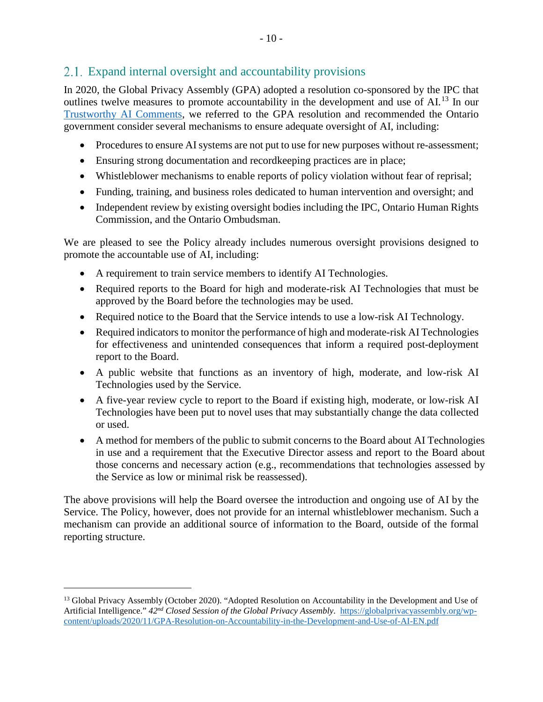## 2.1. Expand internal oversight and accountability provisions

In 2020, the Global Privacy Assembly (GPA) adopted a resolution co-sponsored by the IPC that outlines twelve measures to promote accountability in the development and use of AI.<sup>[13](#page-9-0)</sup> In our [Trustworthy AI Comments,](https://www.ipc.on.ca/wp-content/uploads/2021/06/2021-06-04-ipc-comments-on-ai-framework.pdf) we referred to the GPA resolution and recommended the Ontario government consider several mechanisms to ensure adequate oversight of AI, including:

- Procedures to ensure AI systems are not put to use for new purposes without re-assessment;
- Ensuring strong documentation and recordkeeping practices are in place;
- Whistleblower mechanisms to enable reports of policy violation without fear of reprisal;
- Funding, training, and business roles dedicated to human intervention and oversight; and
- Independent review by existing oversight bodies including the IPC, Ontario Human Rights Commission, and the Ontario Ombudsman.

We are pleased to see the Policy already includes numerous oversight provisions designed to promote the accountable use of AI, including:

- A requirement to train service members to identify AI Technologies.
- Required reports to the Board for high and moderate-risk AI Technologies that must be approved by the Board before the technologies may be used.
- Required notice to the Board that the Service intends to use a low-risk AI Technology.
- Required indicators to monitor the performance of high and moderate-risk AI Technologies for effectiveness and unintended consequences that inform a required post-deployment report to the Board.
- A public website that functions as an inventory of high, moderate, and low-risk AI Technologies used by the Service.
- A five-year review cycle to report to the Board if existing high, moderate, or low-risk AI Technologies have been put to novel uses that may substantially change the data collected or used.
- A method for members of the public to submit concerns to the Board about AI Technologies in use and a requirement that the Executive Director assess and report to the Board about those concerns and necessary action (e.g., recommendations that technologies assessed by the Service as low or minimal risk be reassessed).

The above provisions will help the Board oversee the introduction and ongoing use of AI by the Service. The Policy, however, does not provide for an internal whistleblower mechanism. Such a mechanism can provide an additional source of information to the Board, outside of the formal reporting structure.

<span id="page-9-0"></span><sup>&</sup>lt;sup>13</sup> Global Privacy Assembly (October 2020). "Adopted Resolution on Accountability in the Development and Use of Artificial Intelligence." *42nd Closed Session of the Global Privacy Assembly*. [https://globalprivacyassembly.org/wp](https://globalprivacyassembly.org/wp-content/uploads/2020/11/GPA-Resolution-on-Accountability-in-the-Development-and-Use-of-AI-EN.pdf)[content/uploads/2020/11/GPA-Resolution-on-Accountability-in-the-Development-and-Use-of-AI-EN.pdf](https://globalprivacyassembly.org/wp-content/uploads/2020/11/GPA-Resolution-on-Accountability-in-the-Development-and-Use-of-AI-EN.pdf)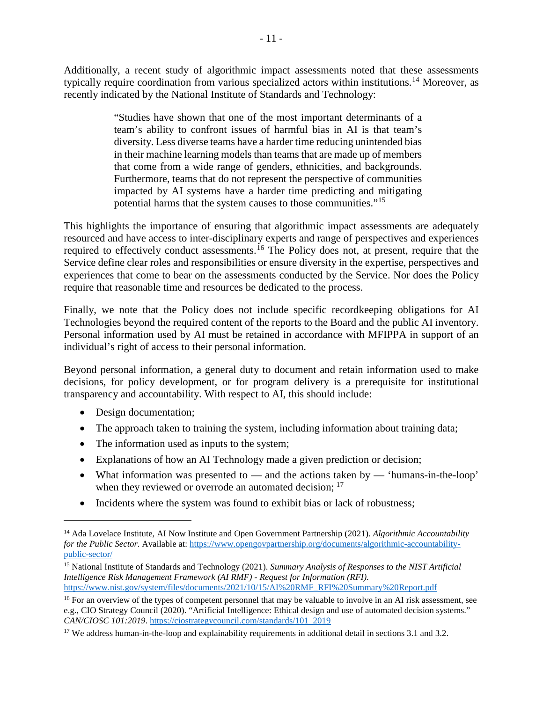Additionally, a recent study of algorithmic impact assessments noted that these assessments typically require coordination from various specialized actors within institutions.<sup>[14](#page-10-0)</sup> Moreover, as recently indicated by the National Institute of Standards and Technology:

> "Studies have shown that one of the most important determinants of a team's ability to confront issues of harmful bias in AI is that team's diversity. Less diverse teams have a harder time reducing unintended bias in their machine learning models than teams that are made up of members that come from a wide range of genders, ethnicities, and backgrounds. Furthermore, teams that do not represent the perspective of communities impacted by AI systems have a harder time predicting and mitigating potential harms that the system causes to those communities."[15](#page-10-1)

This highlights the importance of ensuring that algorithmic impact assessments are adequately resourced and have access to inter-disciplinary experts and range of perspectives and experiences required to effectively conduct assessments.<sup>[16](#page-10-2)</sup> The Policy does not, at present, require that the Service define clear roles and responsibilities or ensure diversity in the expertise, perspectives and experiences that come to bear on the assessments conducted by the Service. Nor does the Policy require that reasonable time and resources be dedicated to the process.

Finally, we note that the Policy does not include specific recordkeeping obligations for AI Technologies beyond the required content of the reports to the Board and the public AI inventory. Personal information used by AI must be retained in accordance with MFIPPA in support of an individual's right of access to their personal information.

Beyond personal information, a general duty to document and retain information used to make decisions, for policy development, or for program delivery is a prerequisite for institutional transparency and accountability. With respect to AI, this should include:

- Design documentation;
- The approach taken to training the system, including information about training data;
- The information used as inputs to the system;
- Explanations of how an AI Technology made a given prediction or decision;
- What information was presented to  $-$  and the actions taken by  $-$  'humans-in-the-loop' when they reviewed or overrode an automated decision; <sup>[17](#page-10-3)</sup>
- Incidents where the system was found to exhibit bias or lack of robustness;

<span id="page-10-0"></span> <sup>14</sup> Ada Lovelace Institute, AI Now Institute and Open Government Partnership (2021). *Algorithmic Accountability for the Public Sector.* Available at: [https://www.opengovpartnership.org/documents/algorithmic-accountability](https://www.opengovpartnership.org/documents/algorithmic-accountability-public-sector/)[public-sector/](https://www.opengovpartnership.org/documents/algorithmic-accountability-public-sector/)

<span id="page-10-1"></span><sup>15</sup> National Institute of Standards and Technology (2021). *Summary Analysis of Responses to the NIST Artificial Intelligence Risk Management Framework (AI RMF) - Request for Information (RFI)*. [https://www.nist.gov/system/files/documents/2021/10/15/AI%20RMF\\_RFI%20Summary%20Report.pdf](https://www.nist.gov/system/files/documents/2021/10/15/AI%20RMF_RFI%20Summary%20Report.pdf)

<span id="page-10-2"></span><sup>&</sup>lt;sup>16</sup> For an overview of the types of competent personnel that may be valuable to involve in an AI risk assessment, see e.g., CIO Strategy Council (2020). "Artificial Intelligence: Ethical design and use of automated decision systems." *CAN/CIOSC 101:2019*. [https://ciostrategycouncil.com/standards/101\\_2019](https://ciostrategycouncil.com/standards/101_2019)

<span id="page-10-3"></span><sup>&</sup>lt;sup>17</sup> We address human-in-the-loop and explainability requirements in additional detail in sections [3.1](#page-13-0) and [3.2.](#page-14-0)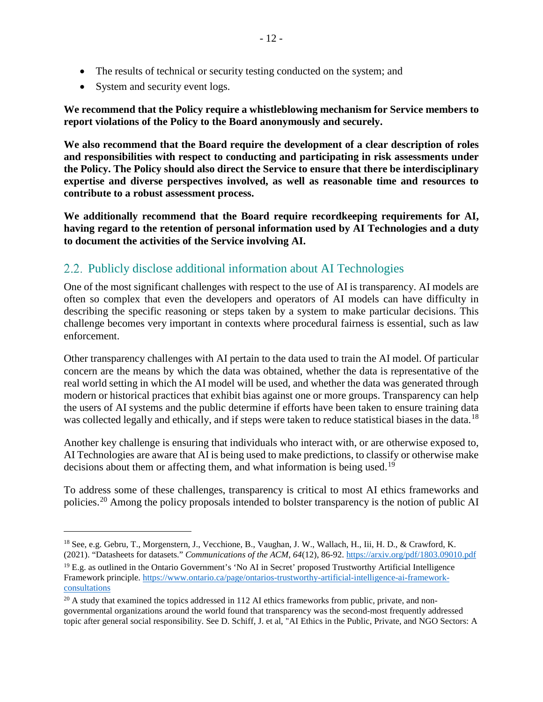• System and security event logs.

**We recommend that the Policy require a whistleblowing mechanism for Service members to report violations of the Policy to the Board anonymously and securely.**

**We also recommend that the Board require the development of a clear description of roles and responsibilities with respect to conducting and participating in risk assessments under the Policy. The Policy should also direct the Service to ensure that there be interdisciplinary expertise and diverse perspectives involved, as well as reasonable time and resources to contribute to a robust assessment process.**

**We additionally recommend that the Board require recordkeeping requirements for AI, having regard to the retention of personal information used by AI Technologies and a duty to document the activities of the Service involving AI.**

## 2.2. Publicly disclose additional information about AI Technologies

One of the most significant challenges with respect to the use of AI is transparency. AI models are often so complex that even the developers and operators of AI models can have difficulty in describing the specific reasoning or steps taken by a system to make particular decisions. This challenge becomes very important in contexts where procedural fairness is essential, such as law enforcement.

Other transparency challenges with AI pertain to the data used to train the AI model. Of particular concern are the means by which the data was obtained, whether the data is representative of the real world setting in which the AI model will be used, and whether the data was generated through modern or historical practices that exhibit bias against one or more groups. Transparency can help the users of AI systems and the public determine if efforts have been taken to ensure training data was collected legally and ethically, and if steps were taken to reduce statistical biases in the data.<sup>[18](#page-11-0)</sup>

Another key challenge is ensuring that individuals who interact with, or are otherwise exposed to, AI Technologies are aware that AI is being used to make predictions, to classify or otherwise make decisions about them or affecting them, and what information is being used.<sup>[19](#page-11-1)</sup>

To address some of these challenges, transparency is critical to most AI ethics frameworks and policies.<sup>[20](#page-11-2)</sup> Among the policy proposals intended to bolster transparency is the notion of public AI

<span id="page-11-0"></span><sup>&</sup>lt;sup>18</sup> See, e.g. Gebru, T., Morgenstern, J., Vecchione, B., Vaughan, J. W., Wallach, H., Iii, H. D., & Crawford, K. (2021). "Datasheets for datasets." *Communications of the ACM*, *64*(12), 86-92. <https://arxiv.org/pdf/1803.09010.pdf>

<span id="page-11-1"></span><sup>&</sup>lt;sup>19</sup> E.g. as outlined in the Ontario Government's 'No AI in Secret' proposed Trustworthy Artificial Intelligence Framework principle. [https://www.ontario.ca/page/ontarios-trustworthy-artificial-intelligence-ai-framework](https://www.ontario.ca/page/ontarios-trustworthy-artificial-intelligence-ai-framework-consultations)[consultations](https://www.ontario.ca/page/ontarios-trustworthy-artificial-intelligence-ai-framework-consultations)

<span id="page-11-2"></span> $20$  A study that examined the topics addressed in 112 AI ethics frameworks from public, private, and nongovernmental organizations around the world found that transparency was the second-most frequently addressed topic after general social responsibility. See D. Schiff, J. et al, "AI Ethics in the Public, Private, and NGO Sectors: A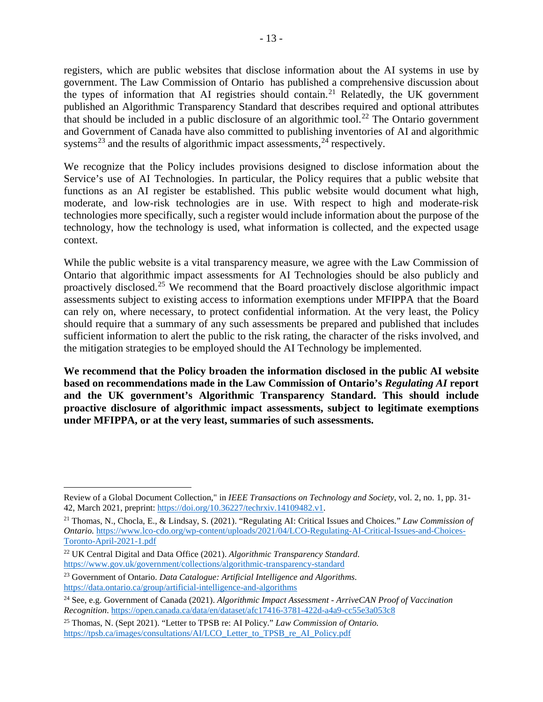registers, which are public websites that disclose information about the AI systems in use by government. The Law Commission of Ontario has published a comprehensive discussion about the types of information that AI registries should contain.<sup>[21](#page-12-0)</sup> Relatedly, the UK government published an Algorithmic Transparency Standard that describes required and optional attributes that should be included in a public disclosure of an algorithmic tool.<sup>[22](#page-12-1)</sup> The Ontario government and Government of Canada have also committed to publishing inventories of AI and algorithmic systems<sup>[23](#page-12-2)</sup> and the results of algorithmic impact assessments,  $24$  respectively.

We recognize that the Policy includes provisions designed to disclose information about the Service's use of AI Technologies. In particular, the Policy requires that a public website that functions as an AI register be established. This public website would document what high, moderate, and low-risk technologies are in use. With respect to high and moderate-risk technologies more specifically, such a register would include information about the purpose of the technology, how the technology is used, what information is collected, and the expected usage context.

While the public website is a vital transparency measure, we agree with the Law Commission of Ontario that algorithmic impact assessments for AI Technologies should be also publicly and proactively disclosed.<sup>[25](#page-12-4)</sup> We recommend that the Board proactively disclose algorithmic impact assessments subject to existing access to information exemptions under MFIPPA that the Board can rely on, where necessary, to protect confidential information. At the very least, the Policy should require that a summary of any such assessments be prepared and published that includes sufficient information to alert the public to the risk rating, the character of the risks involved, and the mitigation strategies to be employed should the AI Technology be implemented.

**We recommend that the Policy broaden the information disclosed in the public AI website based on recommendations made in the Law Commission of Ontario's** *Regulating AI* **report and the UK government's Algorithmic Transparency Standard. This should include proactive disclosure of algorithmic impact assessments, subject to legitimate exemptions under MFIPPA, or at the very least, summaries of such assessments.**

 $\overline{a}$ 

Review of a Global Document Collection," in *IEEE Transactions on Technology and Society*, vol. 2, no. 1, pp. 31- 42, March 2021, preprint[: https://doi.org/10.36227/techrxiv.14109482.v1.](https://doi.org/10.36227/techrxiv.14109482.v1)

<span id="page-12-0"></span><sup>21</sup> Thomas, N., Chocla, E., & Lindsay, S. (2021). "Regulating AI: Critical Issues and Choices." *Law Commission of Ontario.* [https://www.lco-cdo.org/wp-content/uploads/2021/04/LCO-Regulating-AI-Critical-Issues-and-Choices-](https://www.lco-cdo.org/wp-content/uploads/2021/04/LCO-Regulating-AI-Critical-Issues-and-Choices-Toronto-April-2021-1.pdf)[Toronto-April-2021-1.pdf](https://www.lco-cdo.org/wp-content/uploads/2021/04/LCO-Regulating-AI-Critical-Issues-and-Choices-Toronto-April-2021-1.pdf)

<span id="page-12-1"></span><sup>22</sup> UK Central Digital and Data Office (2021). *Algorithmic Transparency Standard*. <https://www.gov.uk/government/collections/algorithmic-transparency-standard>

<span id="page-12-2"></span><sup>23</sup> Government of Ontario. *Data Catalogue: Artificial Intelligence and Algorithms*. <https://data.ontario.ca/group/artificial-intelligence-and-algorithms>

<span id="page-12-3"></span><sup>24</sup> See, e.g. Government of Canada (2021). *Algorithmic Impact Assessment - ArriveCAN Proof of Vaccination Recognition*.<https://open.canada.ca/data/en/dataset/afc17416-3781-422d-a4a9-cc55e3a053c8>

<span id="page-12-4"></span><sup>25</sup> Thomas, N. (Sept 2021). "Letter to TPSB re: AI Policy." *Law Commission of Ontario.* [https://tpsb.ca/images/consultations/AI/LCO\\_Letter\\_to\\_TPSB\\_re\\_AI\\_Policy.pdf](https://tpsb.ca/images/consultations/AI/LCO_Letter_to_TPSB_re_AI_Policy.pdf)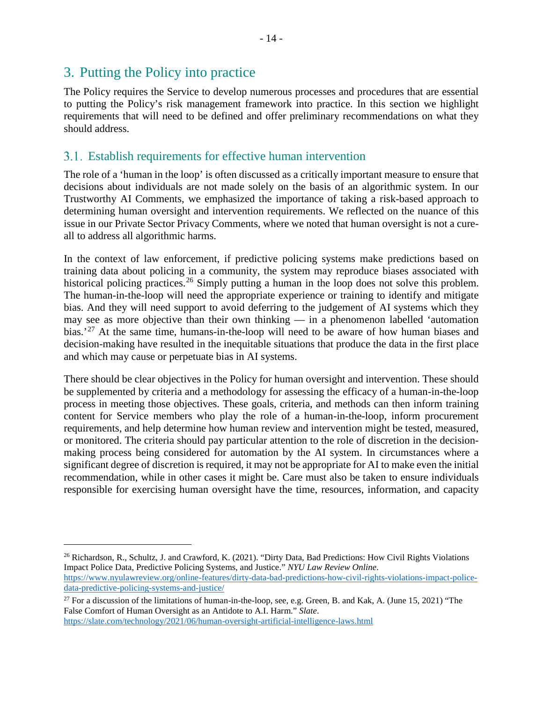# 3. Putting the Policy into practice

The Policy requires the Service to develop numerous processes and procedures that are essential to putting the Policy's risk management framework into practice. In this section we highlight requirements that will need to be defined and offer preliminary recommendations on what they should address.

## <span id="page-13-0"></span>Establish requirements for effective human intervention

The role of a 'human in the loop' is often discussed as a critically important measure to ensure that decisions about individuals are not made solely on the basis of an algorithmic system. In our Trustworthy AI Comments, we emphasized the importance of taking a risk-based approach to determining human oversight and intervention requirements. We reflected on the nuance of this issue in our Private Sector Privacy Comments, where we noted that human oversight is not a cureall to address all algorithmic harms.

In the context of law enforcement, if predictive policing systems make predictions based on training data about policing in a community, the system may reproduce biases associated with historical policing practices.<sup>[26](#page-13-1)</sup> Simply putting a human in the loop does not solve this problem. The human-in-the-loop will need the appropriate experience or training to identify and mitigate bias. And they will need support to avoid deferring to the judgement of AI systems which they may see as more objective than their own thinking — in a phenomenon labelled 'automation bias.<sup>[27](#page-13-2)</sup> At the same time, humans-in-the-loop will need to be aware of how human biases and decision-making have resulted in the inequitable situations that produce the data in the first place and which may cause or perpetuate bias in AI systems.

There should be clear objectives in the Policy for human oversight and intervention. These should be supplemented by criteria and a methodology for assessing the efficacy of a human-in-the-loop process in meeting those objectives. These goals, criteria, and methods can then inform training content for Service members who play the role of a human-in-the-loop, inform procurement requirements, and help determine how human review and intervention might be tested, measured, or monitored. The criteria should pay particular attention to the role of discretion in the decisionmaking process being considered for automation by the AI system. In circumstances where a significant degree of discretion is required, it may not be appropriate for AI to make even the initial recommendation, while in other cases it might be. Care must also be taken to ensure individuals responsible for exercising human oversight have the time, resources, information, and capacity

<https://slate.com/technology/2021/06/human-oversight-artificial-intelligence-laws.html>

<span id="page-13-1"></span><sup>&</sup>lt;sup>26</sup> Richardson, R., Schultz, J. and Crawford, K. (2021). "Dirty Data, Bad Predictions: How Civil Rights Violations Impact Police Data, Predictive Policing Systems, and Justice." *NYU Law Review Online*. [https://www.nyulawreview.org/online-features/dirty-data-bad-predictions-how-civil-rights-violations-impact-police-](https://www.nyulawreview.org/online-features/dirty-data-bad-predictions-how-civil-rights-violations-impact-police-data-predictive-policing-systems-and-justice/)

<span id="page-13-2"></span>[data-predictive-policing-systems-and-justice/](https://www.nyulawreview.org/online-features/dirty-data-bad-predictions-how-civil-rights-violations-impact-police-data-predictive-policing-systems-and-justice/) <sup>27</sup> For a discussion of the limitations of human-in-the-loop, see, e.g. Green, B. and Kak, A. (June 15, 2021) "The False Comfort of Human Oversight as an Antidote to A.I. Harm." *Slate*.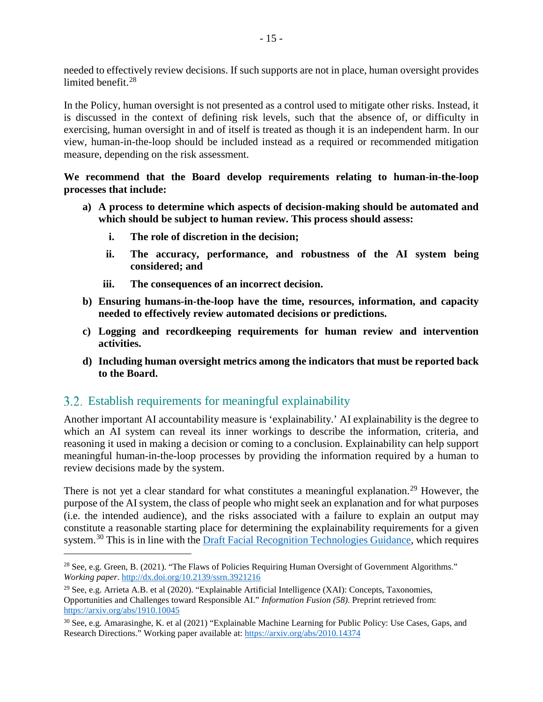needed to effectively review decisions. If such supports are not in place, human oversight provides limited benefit. [28](#page-14-1)

In the Policy, human oversight is not presented as a control used to mitigate other risks. Instead, it is discussed in the context of defining risk levels, such that the absence of, or difficulty in exercising, human oversight in and of itself is treated as though it is an independent harm. In our view, human-in-the-loop should be included instead as a required or recommended mitigation measure, depending on the risk assessment.

**We recommend that the Board develop requirements relating to human-in-the-loop processes that include:**

- **a) A process to determine which aspects of decision-making should be automated and which should be subject to human review. This process should assess:**
	- **i. The role of discretion in the decision;**
	- **ii. The accuracy, performance, and robustness of the AI system being considered; and**
	- **iii. The consequences of an incorrect decision.**
- **b) Ensuring humans-in-the-loop have the time, resources, information, and capacity needed to effectively review automated decisions or predictions.**
- **c) Logging and recordkeeping requirements for human review and intervention activities.**
- **d) Including human oversight metrics among the indicators that must be reported back to the Board.**

### <span id="page-14-0"></span>Establish requirements for meaningful explainability

Another important AI accountability measure is 'explainability.' AI explainability is the degree to which an AI system can reveal its inner workings to describe the information, criteria, and reasoning it used in making a decision or coming to a conclusion. Explainability can help support meaningful human-in-the-loop processes by providing the information required by a human to review decisions made by the system.

There is not yet a clear standard for what constitutes a meaningful explanation.<sup>[29](#page-14-2)</sup> However, the purpose of the AI system, the class of people who might seek an explanation and for what purposes (i.e. the intended audience), and the risks associated with a failure to explain an output may constitute a reasonable starting place for determining the explainability requirements for a given system.<sup>[30](#page-14-3)</sup> This is in line with th[e Draft Facial Recognition Technologies Guidance,](https://www.priv.gc.ca/en/about-the-opc/what-we-do/consultations/gd_frt_202106/) which requires

<span id="page-14-1"></span><sup>&</sup>lt;sup>28</sup> See, e.g. Green, B. (2021). "The Flaws of Policies Requiring Human Oversight of Government Algorithms." *Working paper*. <http://dx.doi.org/10.2139/ssrn.3921216>

<span id="page-14-2"></span><sup>&</sup>lt;sup>29</sup> See, e.g. Arrieta A.B. et al (2020). "Explainable Artificial Intelligence (XAI): Concepts, Taxonomies, Opportunities and Challenges toward Responsible AI." *Information Fusion (58)*. Preprint retrieved from: <https://arxiv.org/abs/1910.10045>

<span id="page-14-3"></span><sup>30</sup> See, e.g. Amarasinghe, K. et al (2021) "Explainable Machine Learning for Public Policy: Use Cases, Gaps, and Research Directions." Working paper available at:<https://arxiv.org/abs/2010.14374>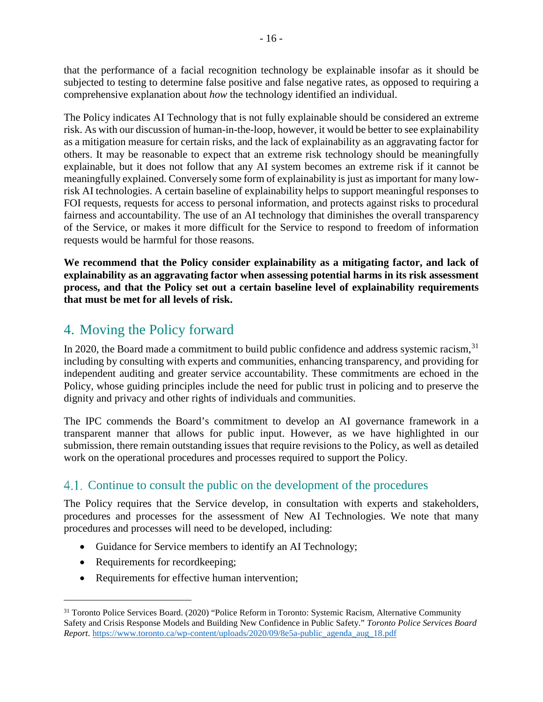that the performance of a facial recognition technology be explainable insofar as it should be subjected to testing to determine false positive and false negative rates, as opposed to requiring a comprehensive explanation about *how* the technology identified an individual.

The Policy indicates AI Technology that is not fully explainable should be considered an extreme risk. As with our discussion of human-in-the-loop, however, it would be better to see explainability as a mitigation measure for certain risks, and the lack of explainability as an aggravating factor for others. It may be reasonable to expect that an extreme risk technology should be meaningfully explainable, but it does not follow that any AI system becomes an extreme risk if it cannot be meaningfully explained. Conversely some form of explainability is just asimportant for many lowrisk AI technologies. A certain baseline of explainability helps to support meaningful responses to FOI requests, requests for access to personal information, and protects against risks to procedural fairness and accountability. The use of an AI technology that diminishes the overall transparency of the Service, or makes it more difficult for the Service to respond to freedom of information requests would be harmful for those reasons.

**We recommend that the Policy consider explainability as a mitigating factor, and lack of explainability as an aggravating factor when assessing potential harms in its risk assessment process, and that the Policy set out a certain baseline level of explainability requirements that must be met for all levels of risk.** 

# 4. Moving the Policy forward

In 2020, the Board made a commitment to build public confidence and address systemic racism,<sup>[31](#page-15-0)</sup> including by consulting with experts and communities, enhancing transparency, and providing for independent auditing and greater service accountability. These commitments are echoed in the Policy, whose guiding principles include the need for public trust in policing and to preserve the dignity and privacy and other rights of individuals and communities.

The IPC commends the Board's commitment to develop an AI governance framework in a transparent manner that allows for public input. However, as we have highlighted in our submission, there remain outstanding issues that require revisions to the Policy, as well as detailed work on the operational procedures and processes required to support the Policy.

# 4.1. Continue to consult the public on the development of the procedures

The Policy requires that the Service develop, in consultation with experts and stakeholders, procedures and processes for the assessment of New AI Technologies. We note that many procedures and processes will need to be developed, including:

- Guidance for Service members to identify an AI Technology;
- Requirements for recordkeeping;
- Requirements for effective human intervention;

<span id="page-15-0"></span><sup>&</sup>lt;sup>31</sup> Toronto Police Services Board. (2020) "Police Reform in Toronto: Systemic Racism, Alternative Community Safety and Crisis Response Models and Building New Confidence in Public Safety." *Toronto Police Services Board Report*. [https://www.toronto.ca/wp-content/uploads/2020/09/8e5a-public\\_agenda\\_aug\\_18.pdf](https://www.toronto.ca/wp-content/uploads/2020/09/8e5a-public_agenda_aug_18.pdf)